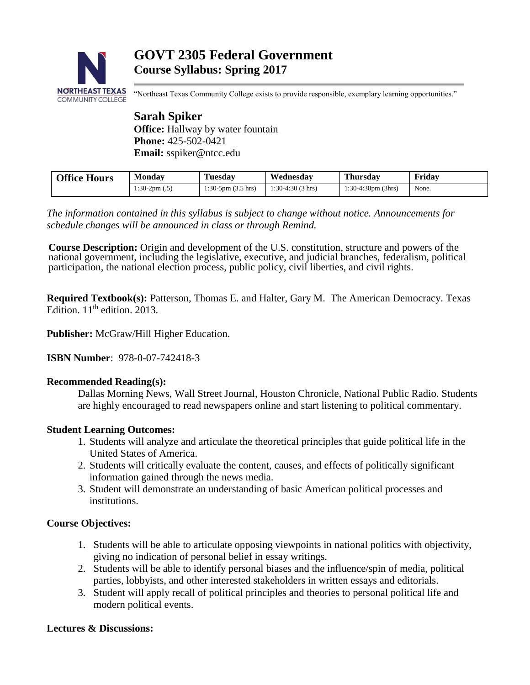

# **GOVT 2305 Federal Government Course Syllabus: Spring 2017**

"Northeast Texas Community College exists to provide responsible, exemplary learning opportunities."

## **Sarah Spiker Office:** Hallway by water fountain **Phone:** 425-502-0421 **Email:** sspiker@ntcc.edu

| <b>Office Hours</b> | <b>Monday</b> | <b>Tuesday</b>           | Wednesday          | <b>Thursday</b>              | Fridav |
|---------------------|---------------|--------------------------|--------------------|------------------------------|--------|
| $1:30-2pm(0.5)$     |               | $1:30-5$ pm $(3.5)$ hrs) | $1:30-4:30(3)$ hrs | $1:30-4:30 \text{pm}$ (3hrs) | None.  |

*The information contained in this syllabus is subject to change without notice. Announcements for schedule changes will be announced in class or through Remind.*

**Course Description:** Origin and development of the U.S. constitution, structure and powers of the national government, including the legislative, executive, and judicial branches, federalism, political participation, the national election process, public policy, civil liberties, and civil rights.

**Required Textbook(s):** Patterson, Thomas E. and Halter, Gary M. The American Democracy. Texas Edition.  $11<sup>th</sup>$  edition. 2013.

**Publisher:** McGraw/Hill Higher Education.

**ISBN Number**: 978-0-07-742418-3

#### **Recommended Reading(s):**

Dallas Morning News, Wall Street Journal, Houston Chronicle, National Public Radio. Students are highly encouraged to read newspapers online and start listening to political commentary.

## **Student Learning Outcomes:**

- 1. Students will analyze and articulate the theoretical principles that guide political life in the United States of America.
- 2. Students will critically evaluate the content, causes, and effects of politically significant information gained through the news media.
- 3. Student will demonstrate an understanding of basic American political processes and institutions.

## **Course Objectives:**

- 1. Students will be able to articulate opposing viewpoints in national politics with objectivity, giving no indication of personal belief in essay writings.
- 2. Students will be able to identify personal biases and the influence/spin of media, political parties, lobbyists, and other interested stakeholders in written essays and editorials.
- 3. Student will apply recall of political principles and theories to personal political life and modern political events.

## **Lectures & Discussions:**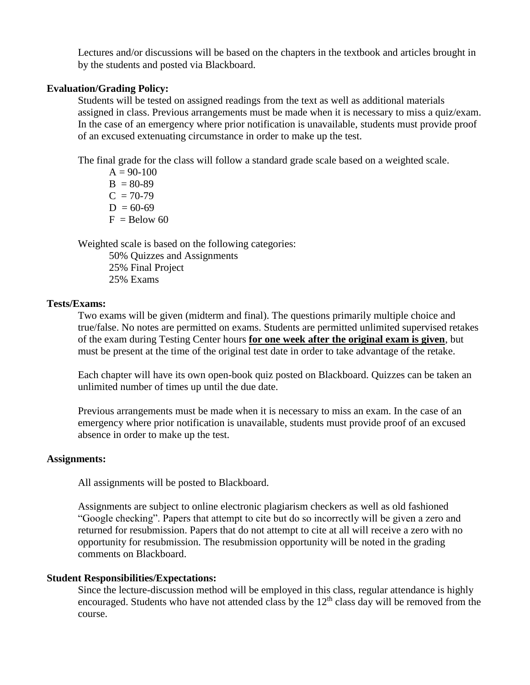Lectures and/or discussions will be based on the chapters in the textbook and articles brought in by the students and posted via Blackboard.

#### **Evaluation/Grading Policy:**

Students will be tested on assigned readings from the text as well as additional materials assigned in class. Previous arrangements must be made when it is necessary to miss a quiz/exam. In the case of an emergency where prior notification is unavailable, students must provide proof of an excused extenuating circumstance in order to make up the test.

The final grade for the class will follow a standard grade scale based on a weighted scale.

 $A = 90-100$  $B = 80-89$  $C = 70-79$  $D = 60-69$  $F =$ Below 60

Weighted scale is based on the following categories:

50% Quizzes and Assignments 25% Final Project

25% Exams

#### **Tests/Exams:**

Two exams will be given (midterm and final). The questions primarily multiple choice and true/false. No notes are permitted on exams. Students are permitted unlimited supervised retakes of the exam during Testing Center hours **for one week after the original exam is given**, but must be present at the time of the original test date in order to take advantage of the retake.

Each chapter will have its own open-book quiz posted on Blackboard. Quizzes can be taken an unlimited number of times up until the due date.

Previous arrangements must be made when it is necessary to miss an exam. In the case of an emergency where prior notification is unavailable, students must provide proof of an excused absence in order to make up the test.

#### **Assignments:**

All assignments will be posted to Blackboard.

Assignments are subject to online electronic plagiarism checkers as well as old fashioned "Google checking". Papers that attempt to cite but do so incorrectly will be given a zero and returned for resubmission. Papers that do not attempt to cite at all will receive a zero with no opportunity for resubmission. The resubmission opportunity will be noted in the grading comments on Blackboard.

## **Student Responsibilities/Expectations:**

Since the lecture-discussion method will be employed in this class, regular attendance is highly encouraged. Students who have not attended class by the  $12<sup>th</sup>$  class day will be removed from the course.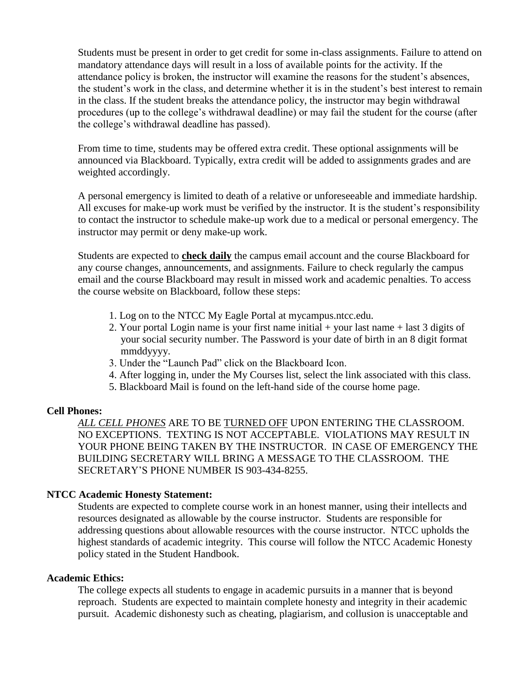Students must be present in order to get credit for some in-class assignments. Failure to attend on mandatory attendance days will result in a loss of available points for the activity. If the attendance policy is broken, the instructor will examine the reasons for the student's absences, the student's work in the class, and determine whether it is in the student's best interest to remain in the class. If the student breaks the attendance policy, the instructor may begin withdrawal procedures (up to the college's withdrawal deadline) or may fail the student for the course (after the college's withdrawal deadline has passed).

From time to time, students may be offered extra credit. These optional assignments will be announced via Blackboard. Typically, extra credit will be added to assignments grades and are weighted accordingly.

A personal emergency is limited to death of a relative or unforeseeable and immediate hardship. All excuses for make-up work must be verified by the instructor. It is the student's responsibility to contact the instructor to schedule make-up work due to a medical or personal emergency. The instructor may permit or deny make-up work.

Students are expected to **check daily** the campus email account and the course Blackboard for any course changes, announcements, and assignments. Failure to check regularly the campus email and the course Blackboard may result in missed work and academic penalties. To access the course website on Blackboard, follow these steps:

- 1. Log on to the NTCC My Eagle Portal at mycampus.ntcc.edu.
- 2. Your portal Login name is your first name initial + your last name + last 3 digits of your social security number. The Password is your date of birth in an 8 digit format mmddyyyy.
- 3. Under the "Launch Pad" click on the Blackboard Icon.
- 4. After logging in, under the My Courses list, select the link associated with this class.
- 5. Blackboard Mail is found on the left-hand side of the course home page.

## **Cell Phones:**

*ALL CELL PHONES* ARE TO BE TURNED OFF UPON ENTERING THE CLASSROOM. NO EXCEPTIONS. TEXTING IS NOT ACCEPTABLE. VIOLATIONS MAY RESULT IN YOUR PHONE BEING TAKEN BY THE INSTRUCTOR. IN CASE OF EMERGENCY THE BUILDING SECRETARY WILL BRING A MESSAGE TO THE CLASSROOM. THE SECRETARY'S PHONE NUMBER IS 903-434-8255.

## **NTCC Academic Honesty Statement:**

Students are expected to complete course work in an honest manner, using their intellects and resources designated as allowable by the course instructor. Students are responsible for addressing questions about allowable resources with the course instructor. NTCC upholds the highest standards of academic integrity. This course will follow the NTCC Academic Honesty policy stated in the Student Handbook.

## **Academic Ethics:**

The college expects all students to engage in academic pursuits in a manner that is beyond reproach. Students are expected to maintain complete honesty and integrity in their academic pursuit. Academic dishonesty such as cheating, plagiarism, and collusion is unacceptable and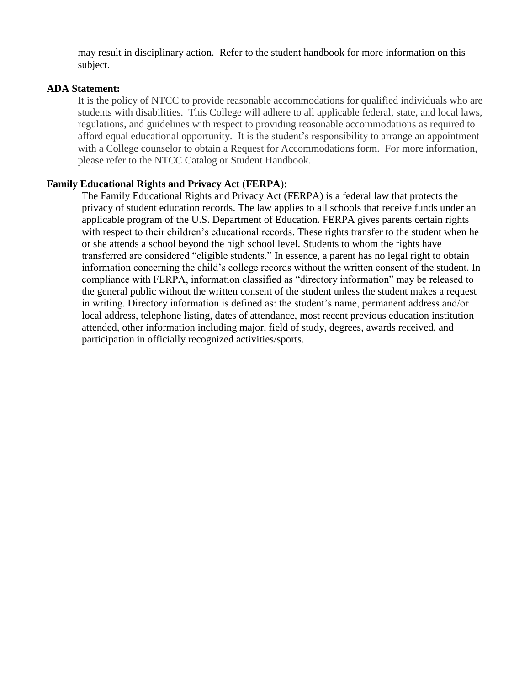may result in disciplinary action. Refer to the student handbook for more information on this subject.

#### **ADA Statement:**

It is the policy of NTCC to provide reasonable accommodations for qualified individuals who are students with disabilities. This College will adhere to all applicable federal, state, and local laws, regulations, and guidelines with respect to providing reasonable accommodations as required to afford equal educational opportunity. It is the student's responsibility to arrange an appointment with a College counselor to obtain a Request for Accommodations form. For more information, please refer to the NTCC Catalog or Student Handbook.

## **Family Educational Rights and Privacy Act** (**FERPA**):

The Family Educational Rights and Privacy Act (FERPA) is a federal law that protects the privacy of student education records. The law applies to all schools that receive funds under an applicable program of the U.S. Department of Education. FERPA gives parents certain rights with respect to their children's educational records. These rights transfer to the student when he or she attends a school beyond the high school level. Students to whom the rights have transferred are considered "eligible students." In essence, a parent has no legal right to obtain information concerning the child's college records without the written consent of the student. In compliance with FERPA, information classified as "directory information" may be released to the general public without the written consent of the student unless the student makes a request in writing. Directory information is defined as: the student's name, permanent address and/or local address, telephone listing, dates of attendance, most recent previous education institution attended, other information including major, field of study, degrees, awards received, and participation in officially recognized activities/sports.